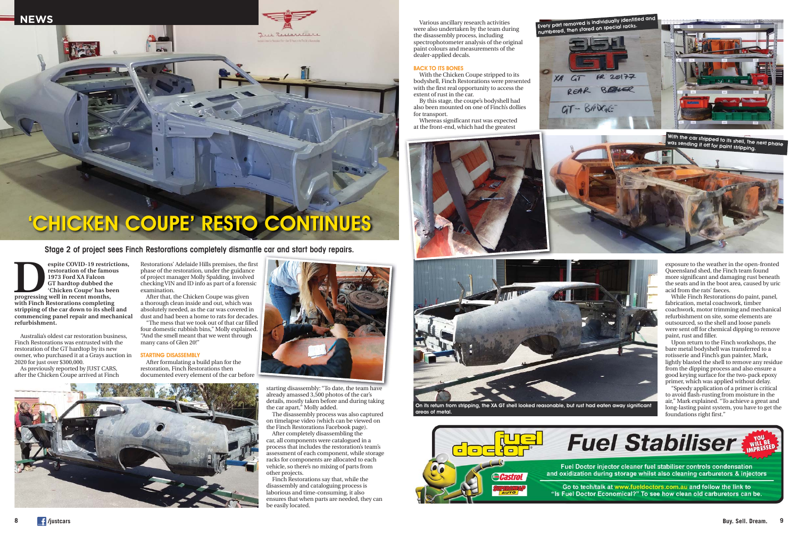Australia's oldest car restoration business, Finch Restorations was entrusted with the restoration of the GT hardtop by its new owner, who purchased it at a Grays auction in 2020 for just over \$300,000.

As previously reported by JUST CARS, after the Chicken Coupe arrived at Finch Restorations' Adelaide Hills premises, the first phase of the restoration, under the guidance of project manager Molly Spalding, involved checking VIN and ID info as part of a forensic examination.

After that, the Chicken Coupe was given a thorough clean inside and out, which was absolutely needed, as the car was covered in dust and had been a home to rats for decades.

"The mess that we took out of that car filled four domestic rubbish bins," Molly explained. "And the smell meant that we went through many cans of Glen 20!"

## STARTING DISASSEMBLY

After formulating a build plan for the restoration, Finch Restorations then documented every element of the car before



starting disassembly: "To date, the team have already amassed 3,500 photos of the car's details, mostly taken before and during taking

the car apart," Molly added.

The disassembly process was also captured on timelapse video (which can be viewed on the Finch Restorations Facebook page). After completely disassembling the car, all components were catalogued in a process that includes the restoration's team's assessment of each component, while storage racks for components are allocated to each vehicle, so there's no mixing of parts from

espite COVID-19 restrictions,<br>
restoration of the famous<br>
1973 Ford XA Falcon<br>
GT hardtop dubbed the<br>
"Chicken Coupe" has been<br>
progressing well in recent months,<br>
with Final **restoration of the famous 1973 Ford XA Falcon GT hardtop dubbed the 'Chicken Coupe' has been with Finch Restorations completing stripping of the car down to its shell and commencing panel repair and mechanical refurbishment.**

other projects.

Finch Restorations say that, while the disassembly and cataloguing process is laborious and time-consuming, it also ensures that when parts are needed, they can

be easily located.



Stage 2 of project sees Finch Restorations completely dismantle car and start body repairs.



Various ancillary research activities were also undertaken by the team during the disassembly process, including spectrophotometer analysis of the original paint colours and measurements of the dealer-applied decals.

## BACK TO ITS BONES

With the Chicken Coupe stripped to its bodyshell, Finch Restorations were presented with the first real opportunity to access the extent of rust in the car.

By this stage, the coupe's bodyshell had also been mounted on one of Finch's dollies for transport.

exposure to the weather in the open-fronted Queensland shed, the Finch team found more significant and damaging rust beneath the seats and in the boot area, caused by uric acid from the rats' faeces.

Whereas significant rust was expected at the front-end, which had the greatest at the front end, which had the greatest

> While Finch Restorations do paint, panel, fabrication, metal coachwork, timber coachwork, motor trimming and mechanical refurbishment on site, some elements are outsourced, so the shell and loose panels were sent off for chemical dipping to remove paint, rust and filler.

> Upon return to the Finch workshops, the bare metal bodyshell was transferred to a rotisserie and Finch's gun painter, Mark, lightly blasted the shell to remove any residue from the dipping process and also ensure a good keying surface for the two-pack epoxy primer, which was applied without delay.

> "Speedy application of a primer is critical to avoid flash-rusting from moisture in the air," Mark explained. "To achieve a great and long-lasting paint system, you have to get the foundations right first."









areas of metal.